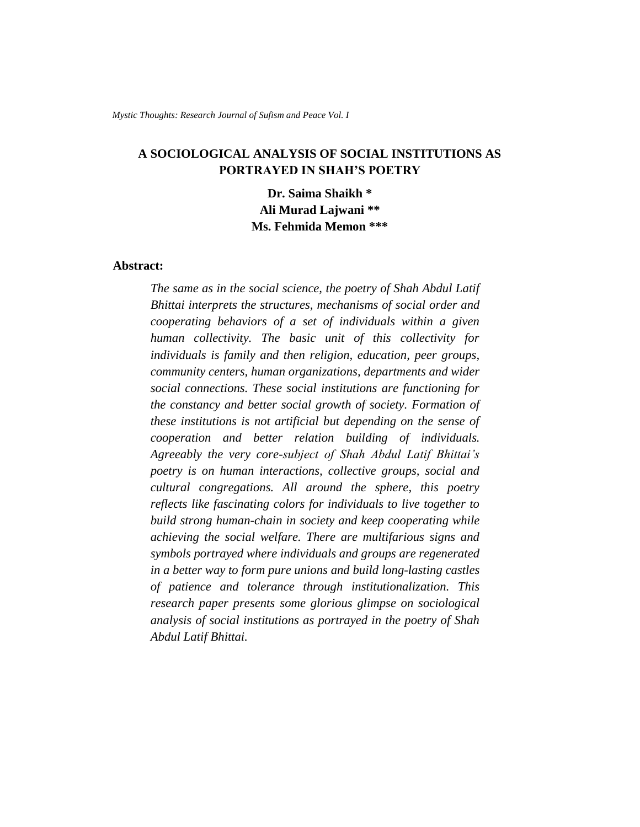# **A SOCIOLOGICAL ANALYSIS OF SOCIAL INSTITUTIONS AS PORTRAYED IN SHAH'S POETRY**

**Dr. Saima Shaikh \* Ali Murad Lajwani \*\* Ms. Fehmida Memon \*\*\***

## **Abstract:**

*The same as in the social science, the poetry of Shah Abdul Latif Bhittai interprets the structures, mechanisms of social order and cooperating behaviors of a set of individuals within a given human collectivity. The basic unit of this collectivity for individuals is family and then religion, education, peer groups, community centers, human organizations, departments and wider social connections. These social institutions are functioning for the constancy and better social growth of society. Formation of these institutions is not artificial but depending on the sense of cooperation and better relation building of individuals. Agreeably the very core-subject of Shah Abdul Latif Bhittai's poetry is on human interactions, collective groups, social and cultural congregations. All around the sphere, this poetry reflects like fascinating colors for individuals to live together to build strong human-chain in society and keep cooperating while achieving the social welfare. There are multifarious signs and symbols portrayed where individuals and groups are regenerated in a better way to form pure unions and build long-lasting castles of patience and tolerance through institutionalization. This research paper presents some glorious glimpse on sociological analysis of social institutions as portrayed in the poetry of Shah Abdul Latif Bhittai.*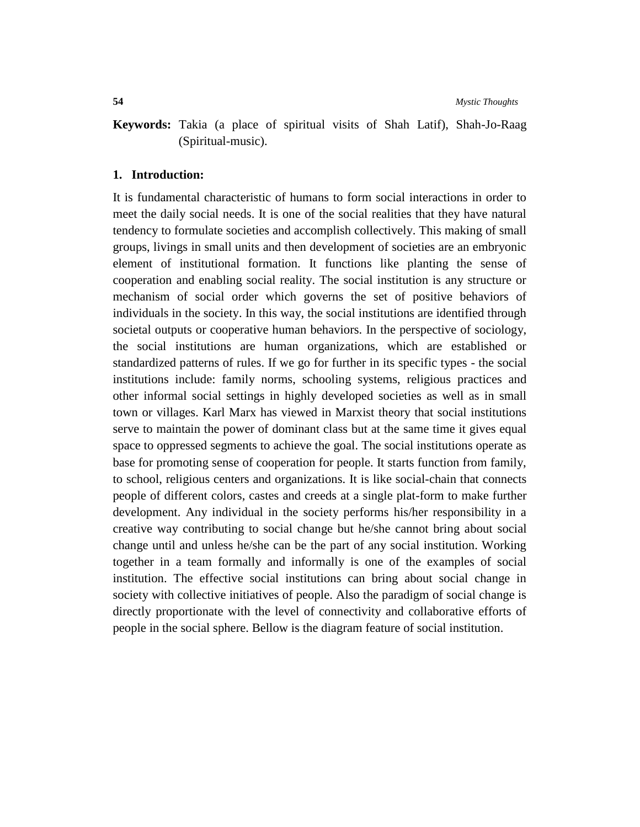**Keywords:** Takia (a place of spiritual visits of Shah Latif), Shah-Jo-Raag (Spiritual-music).

### **1. Introduction:**

It is fundamental characteristic of humans to form social interactions in order to meet the daily social needs. It is one of the social realities that they have natural tendency to formulate societies and accomplish collectively. This making of small groups, livings in small units and then development of societies are an embryonic element of institutional formation. It functions like planting the sense of cooperation and enabling social reality. The social institution is any structure or mechanism of social order which governs the set of positive behaviors of individuals in the society. In this way, the social institutions are identified through societal outputs or cooperative human behaviors. In the perspective of sociology, the social institutions are human organizations, which are established or standardized patterns of rules. If we go for further in its specific types - the social institutions include: family norms, schooling systems, religious practices and other informal social settings in highly developed societies as well as in small town or villages. Karl Marx has viewed in Marxist theory that social institutions serve to maintain the power of dominant class but at the same time it gives equal space to oppressed segments to achieve the goal. The social institutions operate as base for promoting sense of cooperation for people. It starts function from family, to school, religious centers and organizations. It is like social-chain that connects people of different colors, castes and creeds at a single plat-form to make further development. Any individual in the society performs his/her responsibility in a creative way contributing to social change but he/she cannot bring about social change until and unless he/she can be the part of any social institution. Working together in a team formally and informally is one of the examples of social institution. The effective social institutions can bring about social change in society with collective initiatives of people. Also the paradigm of social change is directly proportionate with the level of connectivity and collaborative efforts of people in the social sphere. Bellow is the diagram feature of social institution.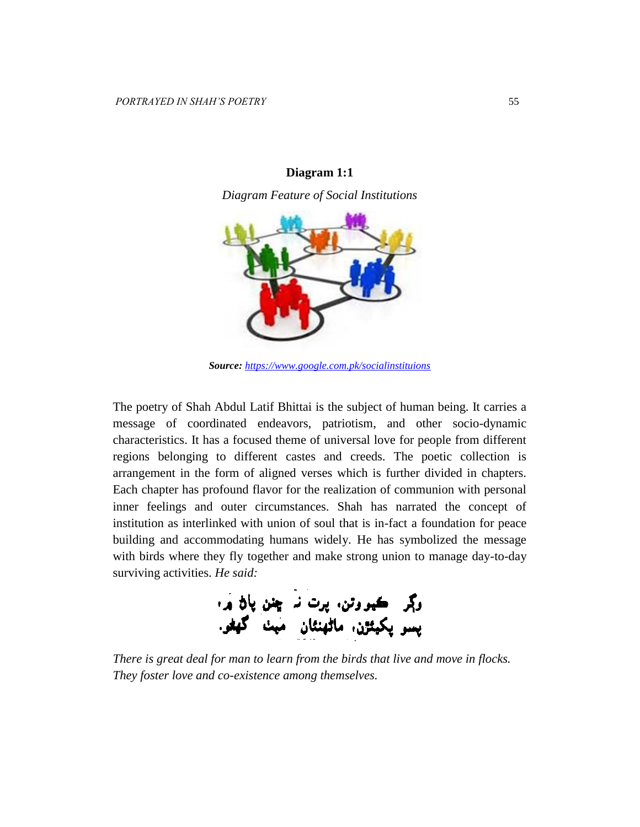

### **Diagram 1:1**

*Diagram Feature of Social Institutions* 

*Source: <https://www.google.com.pk/socialinstituions>*

The poetry of Shah Abdul Latif Bhittai is the subject of human being. It carries a message of coordinated endeavors, patriotism, and other socio-dynamic characteristics. It has a focused theme of universal love for people from different regions belonging to different castes and creeds. The poetic collection is arrangement in the form of aligned verses which is further divided in chapters. Each chapter has profound flavor for the realization of communion with personal inner feelings and outer circumstances. Shah has narrated the concept of institution as interlinked with union of soul that is in-fact a foundation for peace building and accommodating humans widely. He has symbolized the message with birds where they fly together and make strong union to manage day-to-day surviving activities. *He said:*

وڳر ڪيو وتن. پرت نہ ڇنن پاڻ ۾.<br>پسو پکيٽڙن. ماڻھنئان -ميٺ- گھڻو.

*There is great deal for man to learn from the birds that live and move in flocks. They foster love and co-existence among themselves.*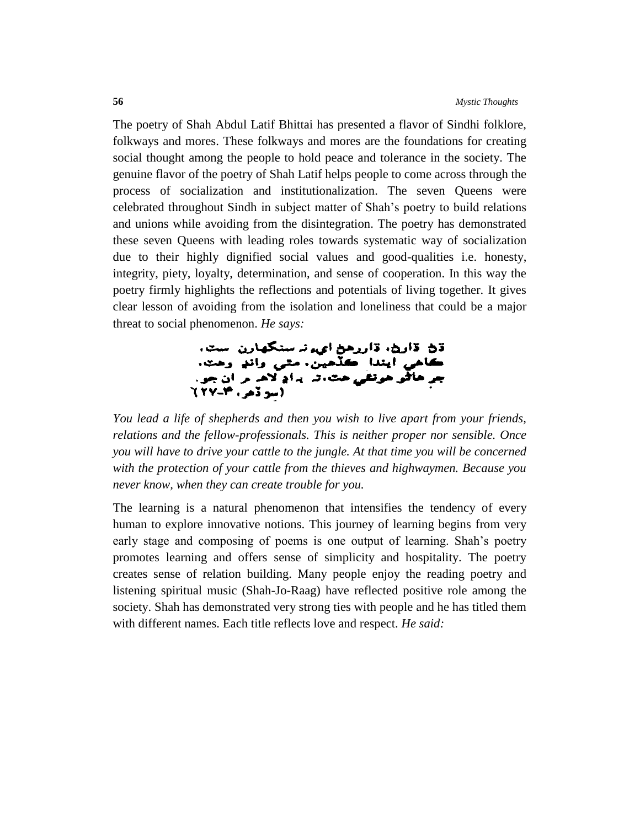The poetry of Shah Abdul Latif Bhittai has presented a flavor of Sindhi folklore, folkways and mores. These folkways and mores are the foundations for creating social thought among the people to hold peace and tolerance in the society. The genuine flavor of the poetry of Shah Latif helps people to come across through the process of socialization and institutionalization. The seven Queens were celebrated throughout Sindh in subject matter of Shah's poetry to build relations and unions while avoiding from the disintegration. The poetry has demonstrated these seven Queens with leading roles towards systematic way of socialization due to their highly dignified social values and good-qualities i.e. honesty, integrity, piety, loyalty, determination, and sense of cooperation. In this way the poetry firmly highlights the reflections and potentials of living together. It gives clear lesson of avoiding from the isolation and loneliness that could be a major threat to social phenomenon. *He says:*

ڌڻ ڌارڻ، ڌاررهڻ ايءِ تا سنگهارن است. كاهي أيندا كلَّدهين. مثي واندٍ وهت. جرِ هاڱو هُولِقي هٿا، تہ پراڍ لاها ۾ ان جو..<br>(سِوڏهر، ١٣-٢٧)

*You lead a life of shepherds and then you wish to live apart from your friends, relations and the fellow-professionals. This is neither proper nor sensible. Once you will have to drive your cattle to the jungle. At that time you will be concerned with the protection of your cattle from the thieves and highwaymen. Because you never know, when they can create trouble for you.*

The learning is a natural phenomenon that intensifies the tendency of every human to explore innovative notions. This journey of learning begins from very early stage and composing of poems is one output of learning. Shah's poetry promotes learning and offers sense of simplicity and hospitality. The poetry creates sense of relation building. Many people enjoy the reading poetry and listening spiritual music (Shah-Jo-Raag) have reflected positive role among the society. Shah has demonstrated very strong ties with people and he has titled them with different names. Each title reflects love and respect. *He said:*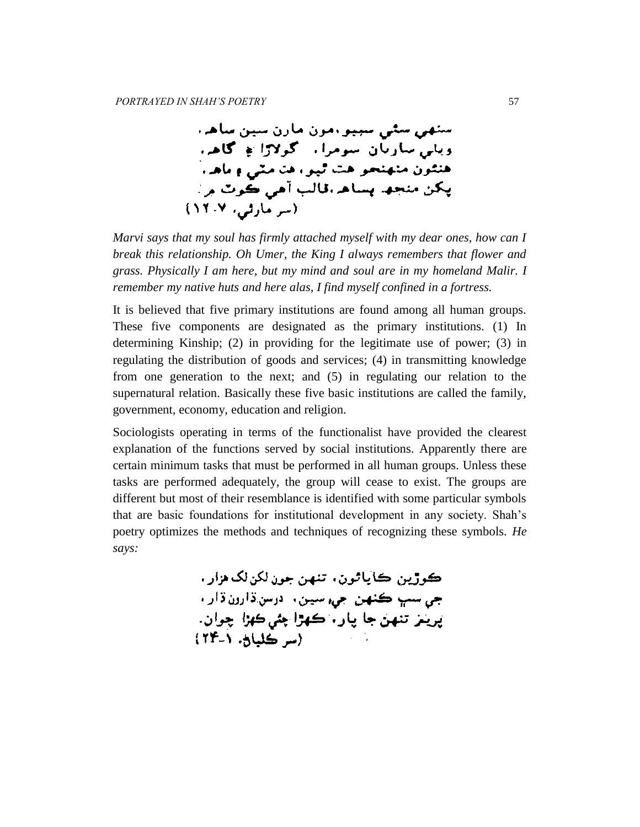ستهي سڻي سيپو امون مارڻ سين ساها، ويلي ساريان سومرا، گولاڙا ۾ گاهي هنئون متهنجو هت ٿيو، هن مٽي ۽ ماها، پکن منجھا پساھ،قالب آهي ڪوٽ ۾ : (سر مارٹی، ۱۲۰۷)

*Marvi says that my soul has firmly attached myself with my dear ones, how can I break this relationship. Oh Umer, the King I always remembers that flower and grass. Physically I am here, but my mind and soul are in my homeland Malir. I remember my native huts and here alas, I find myself confined in a fortress.* 

It is believed that five primary institutions are found among all human groups. These five components are designated as the primary institutions. (1) In determining Kinship; (2) in providing for the legitimate use of power; (3) in regulating the distribution of goods and services; (4) in transmitting knowledge from one generation to the next; and (5) in regulating our relation to the supernatural relation. Basically these five basic institutions are called the family, government, economy, education and religion.

Sociologists operating in terms of the functionalist have provided the clearest explanation of the functions served by social institutions. Apparently there are certain minimum tasks that must be performed in all human groups. Unless these tasks are performed adequately, the group will cease to exist. The groups are different but most of their resemblance is identified with some particular symbols that are basic foundations for institutional development in any society. Shah's poetry optimizes the methods and techniques of recognizing these symbols. *He says:*

> ڪوڙين ڪاپاڻون، تنهن جون لکن لک هزار . جي سڀ ڪنهن جيءِ سين، ادرس:ڌارون ڌارا، پرينز تنهن جا پار، ڪهڙا چئي ڪهڙا چوان.  $(T^2 - 2L)$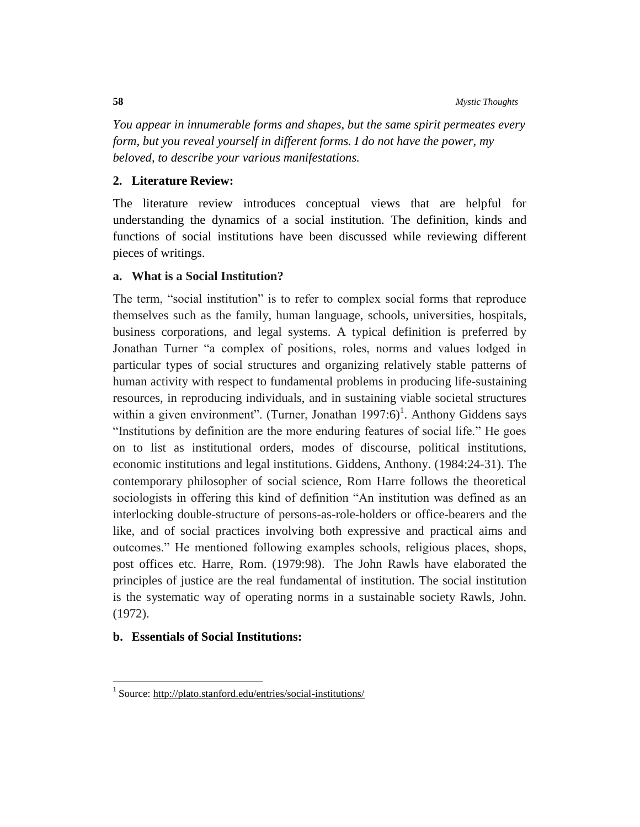*You appear in innumerable forms and shapes, but the same spirit permeates every form, but you reveal yourself in different forms. I do not have the power, my beloved, to describe your various manifestations.*

# **2. Literature Review:**

The literature review introduces conceptual views that are helpful for understanding the dynamics of a social institution. The definition, kinds and functions of social institutions have been discussed while reviewing different pieces of writings.

# **a. What is a Social Institution?**

The term, "social institution" is to refer to complex social forms that reproduce themselves such as the family, human language, schools, universities, hospitals, business corporations, and legal systems. A typical definition is preferred by Jonathan Turner "a complex of positions, roles, norms and values lodged in particular types of social structures and organizing relatively stable patterns of human activity with respect to fundamental problems in producing life-sustaining resources, in reproducing individuals, and in sustaining viable societal structures within a given environment". (Turner, Jonathan  $1997:6$ )<sup>1</sup>. Anthony Giddens says "Institutions by definition are the more enduring features of social life." He goes on to list as institutional orders, modes of discourse, political institutions, economic institutions and legal institutions. Giddens, Anthony. (1984:24-31). The contemporary philosopher of social science, Rom Harre follows the theoretical sociologists in offering this kind of definition "An institution was defined as an interlocking double-structure of persons-as-role-holders or office-bearers and the like, and of social practices involving both expressive and practical aims and outcomes." He mentioned following examples schools, religious places, shops, post offices etc. Harre, Rom. (1979:98). The John Rawls have elaborated the principles of justice are the real fundamental of institution. The social institution is the systematic way of operating norms in a sustainable society Rawls, John. (1972).

### **b. Essentials of Social Institutions:**

 1 Source:<http://plato.stanford.edu/entries/social-institutions/>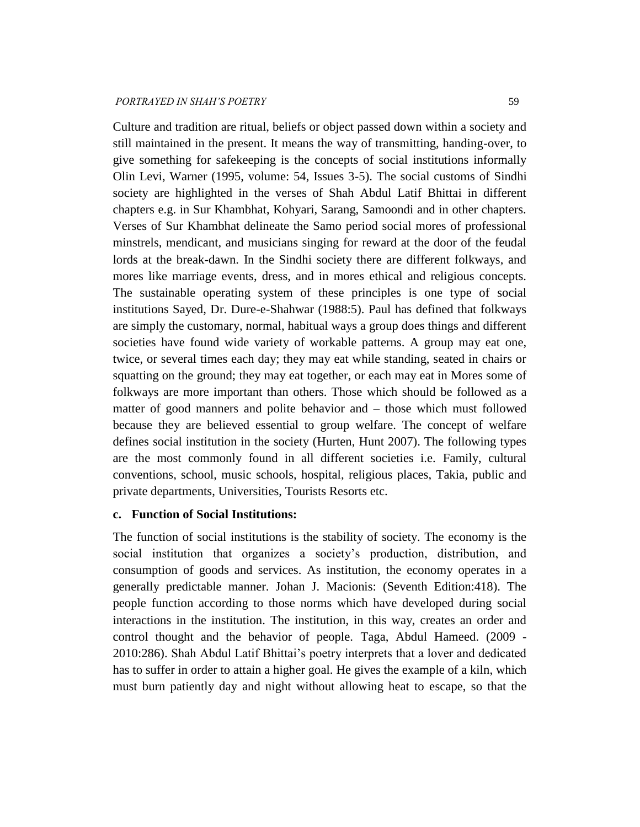Culture and tradition are ritual, beliefs or object passed down within a society and still maintained in the present. It means the way of transmitting, handing-over, to give something for safekeeping is the concepts of social institutions informally Olin Levi, Warner (1995, volume: 54, Issues 3-5). The social customs of Sindhi society are highlighted in the verses of Shah Abdul Latif Bhittai in different chapters e.g. in Sur Khambhat, Kohyari, Sarang, Samoondi and in other chapters. Verses of Sur Khambhat delineate the Samo period social mores of professional minstrels, mendicant, and musicians singing for reward at the door of the feudal lords at the break-dawn. In the Sindhi society there are different folkways, and mores like marriage events, dress, and in mores ethical and religious concepts. The sustainable operating system of these principles is one type of social institutions Sayed, Dr. Dure-e-Shahwar (1988:5). Paul has defined that folkways are simply the customary, normal, habitual ways a group does things and different societies have found wide variety of workable patterns. A group may eat one, twice, or several times each day; they may eat while standing, seated in chairs or squatting on the ground; they may eat together, or each may eat in Mores some of folkways are more important than others. Those which should be followed as a matter of good manners and polite behavior and – those which must followed because they are believed essential to group welfare. The concept of welfare defines social institution in the society (Hurten, Hunt 2007). The following types are the most commonly found in all different societies i.e. Family, cultural conventions, school, music schools, hospital, religious places, Takia, public and private departments, Universities, Tourists Resorts etc.

# **c. Function of Social Institutions:**

The function of social institutions is the stability of society. The economy is the social institution that organizes a society's production, distribution, and consumption of goods and services. As institution, the economy operates in a generally predictable manner. Johan J. Macionis: (Seventh Edition:418). The people function according to those norms which have developed during social interactions in the institution. The institution, in this way, creates an order and control thought and the behavior of people. Taga, Abdul Hameed. (2009 - 2010:286). Shah Abdul Latif Bhittai's poetry interprets that a lover and dedicated has to suffer in order to attain a higher goal. He gives the example of a kiln, which must burn patiently day and night without allowing heat to escape, so that the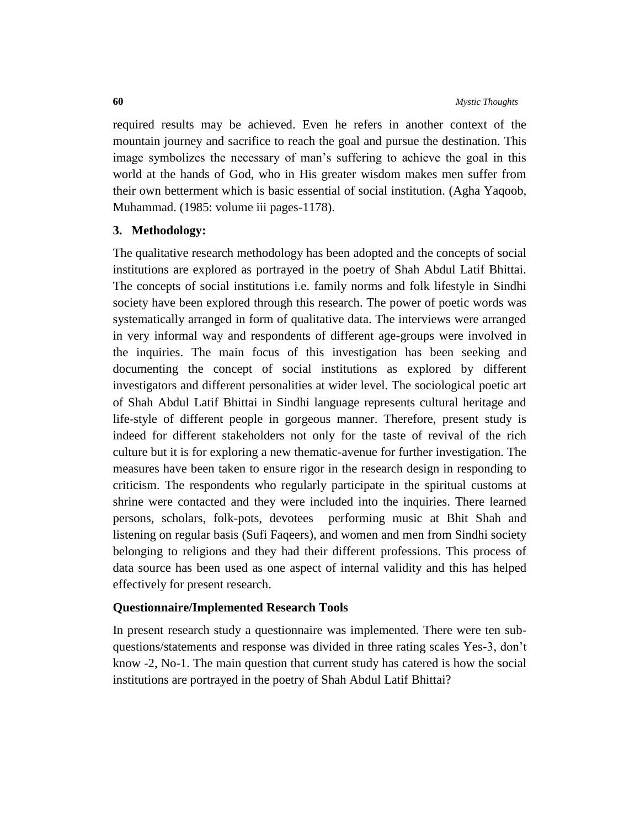required results may be achieved. Even he refers in another context of the mountain journey and sacrifice to reach the goal and pursue the destination. This image symbolizes the necessary of man's suffering to achieve the goal in this world at the hands of God, who in His greater wisdom makes men suffer from their own betterment which is basic essential of social institution. (Agha Yaqoob, Muhammad. (1985: volume iii pages-1178).

# **3. Methodology:**

The qualitative research methodology has been adopted and the concepts of social institutions are explored as portrayed in the poetry of Shah Abdul Latif Bhittai. The concepts of social institutions i.e. family norms and folk lifestyle in Sindhi society have been explored through this research. The power of poetic words was systematically arranged in form of qualitative data. The interviews were arranged in very informal way and respondents of different age-groups were involved in the inquiries. The main focus of this investigation has been seeking and documenting the concept of social institutions as explored by different investigators and different personalities at wider level. The sociological poetic art of Shah Abdul Latif Bhittai in Sindhi language represents cultural heritage and life-style of different people in gorgeous manner. Therefore, present study is indeed for different stakeholders not only for the taste of revival of the rich culture but it is for exploring a new thematic-avenue for further investigation. The measures have been taken to ensure rigor in the research design in responding to criticism. The respondents who regularly participate in the spiritual customs at shrine were contacted and they were included into the inquiries. There learned persons, scholars, folk-pots, devotees performing music at Bhit Shah and listening on regular basis (Sufi Faqeers), and women and men from Sindhi society belonging to religions and they had their different professions. This process of data source has been used as one aspect of internal validity and this has helped effectively for present research.

### **Questionnaire/Implemented Research Tools**

In present research study a questionnaire was implemented. There were ten subquestions/statements and response was divided in three rating scales Yes-3, don't know -2, No-1. The main question that current study has catered is how the social institutions are portrayed in the poetry of Shah Abdul Latif Bhittai?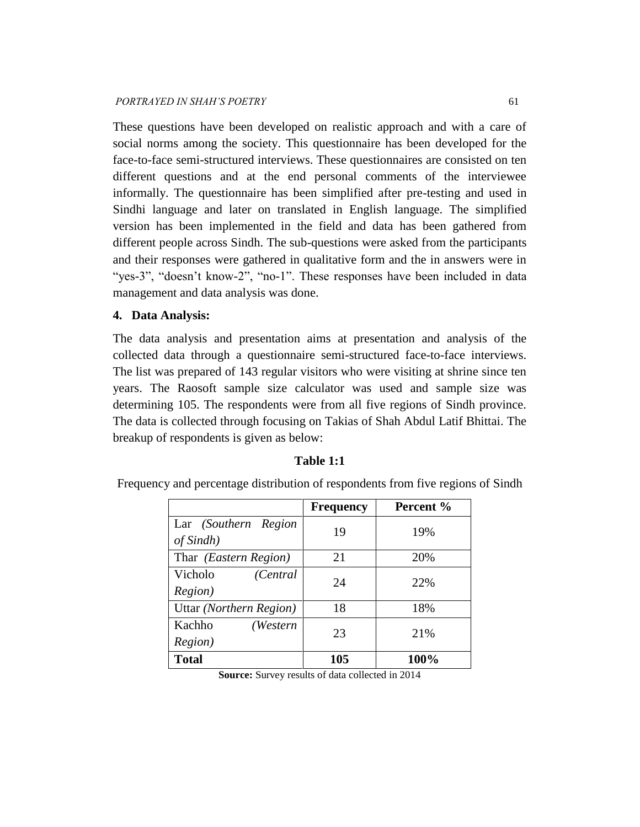These questions have been developed on realistic approach and with a care of social norms among the society. This questionnaire has been developed for the face-to-face semi-structured interviews. These questionnaires are consisted on ten different questions and at the end personal comments of the interviewee informally. The questionnaire has been simplified after pre-testing and used in Sindhi language and later on translated in English language. The simplified version has been implemented in the field and data has been gathered from different people across Sindh. The sub-questions were asked from the participants and their responses were gathered in qualitative form and the in answers were in "yes-3", "doesn't know-2", "no-1". These responses have been included in data management and data analysis was done.

## **4. Data Analysis:**

The data analysis and presentation aims at presentation and analysis of the collected data through a questionnaire semi-structured face-to-face interviews. The list was prepared of 143 regular visitors who were visiting at shrine since ten years. The Raosoft sample size calculator was used and sample size was determining 105. The respondents were from all five regions of Sindh province. The data is collected through focusing on Takias of Shah Abdul Latif Bhittai. The breakup of respondents is given as below:

|                                         | <b>Frequency</b> | Percent % |
|-----------------------------------------|------------------|-----------|
| Lar (Southern Region<br>of Sindh)       | 19               | 19%       |
| Thar <i>(Eastern Region)</i>            | 21               | 20%       |
| Vicholo<br>(Central)<br><i>Region</i> ) | 24               | 22%       |
| Uttar (Northern Region)                 | 18               | 18%       |
| Kachho<br>(Western<br>Region)           | 23               | 21%       |
| <b>Total</b>                            | 105              | 100%      |

### **Table 1:1**

Frequency and percentage distribution of respondents from five regions of Sindh

**Source:** Survey results of data collected in 2014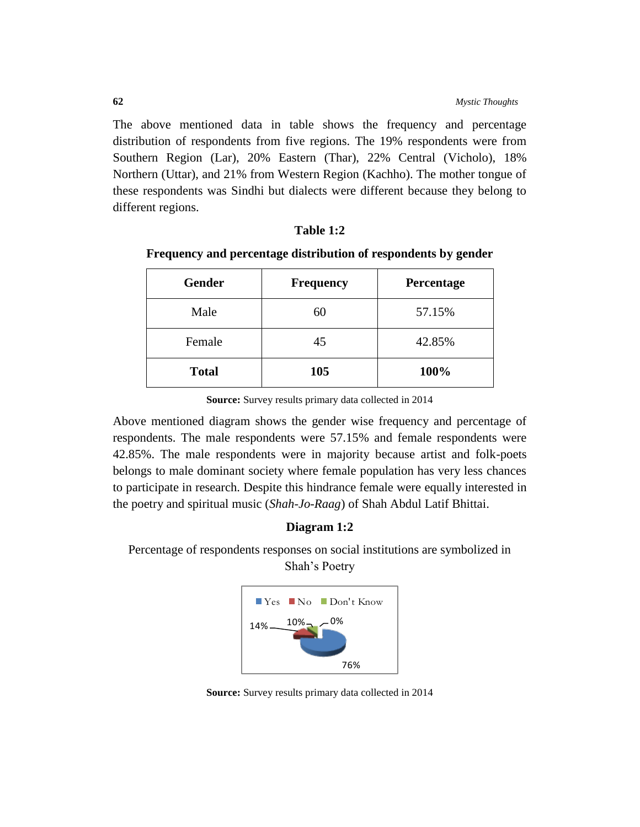The above mentioned data in table shows the frequency and percentage distribution of respondents from five regions. The 19% respondents were from Southern Region (Lar), 20% Eastern (Thar), 22% Central (Vicholo), 18% Northern (Uttar), and 21% from Western Region (Kachho). The mother tongue of these respondents was Sindhi but dialects were different because they belong to different regions.

# **Table 1:2**

|  | Frequency and percentage distribution of respondents by gender |  |  |  |
|--|----------------------------------------------------------------|--|--|--|
|  |                                                                |  |  |  |

| <b>Gender</b> | <b>Frequency</b> | Percentage |  |
|---------------|------------------|------------|--|
| Male          | 60               | 57.15%     |  |
| Female        | 45               | 42.85%     |  |
| <b>Total</b>  | 105              | 100%       |  |

**Source:** Survey results primary data collected in 2014

Above mentioned diagram shows the gender wise frequency and percentage of respondents. The male respondents were 57.15% and female respondents were 42.85%. The male respondents were in majority because artist and folk-poets belongs to male dominant society where female population has very less chances to participate in research. Despite this hindrance female were equally interested in the poetry and spiritual music (*Shah-Jo-Raag*) of Shah Abdul Latif Bhittai.

### **Diagram 1:2**

Percentage of respondents responses on social institutions are symbolized in Shah's Poetry



**Source:** Survey results primary data collected in 2014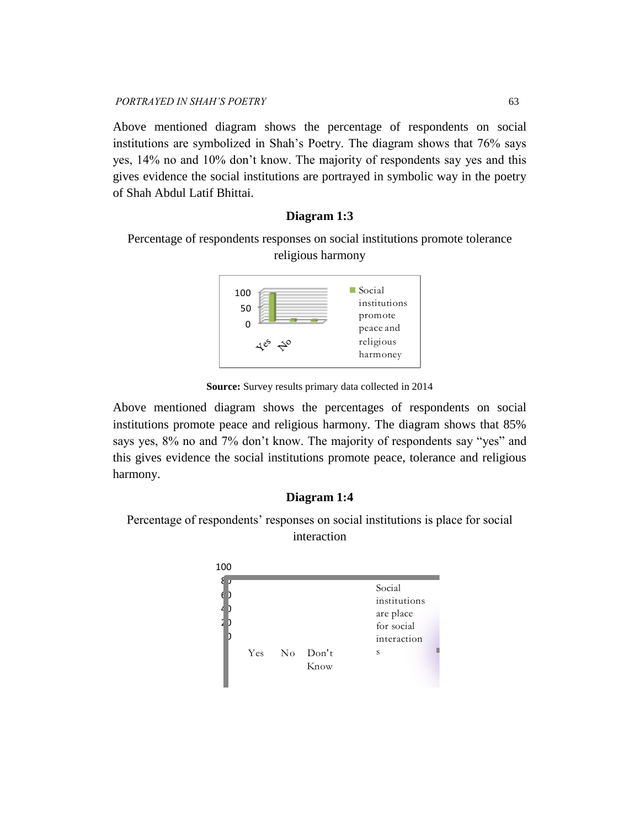*PORTRAYED IN SHAH'S POETRY* 63

Above mentioned diagram shows the percentage of respondents on social institutions are symbolized in Shah's Poetry. The diagram shows that 76% says yes, 14% no and 10% don't know. The majority of respondents say yes and this gives evidence the social institutions are portrayed in symbolic way in the poetry of Shah Abdul Latif Bhittai.

# **Diagram 1:3**

Percentage of respondents responses on social institutions promote tolerance religious harmony



**Source:** Survey results primary data collected in 2014

Above mentioned diagram shows the percentages of respondents on social institutions promote peace and religious harmony. The diagram shows that 85% says yes, 8% no and 7% don't know. The majority of respondents say "yes" and this gives evidence the social institutions promote peace, tolerance and religious harmony.

# **Diagram 1:4**

Percentage of respondents' responses on social institutions is place for social interaction

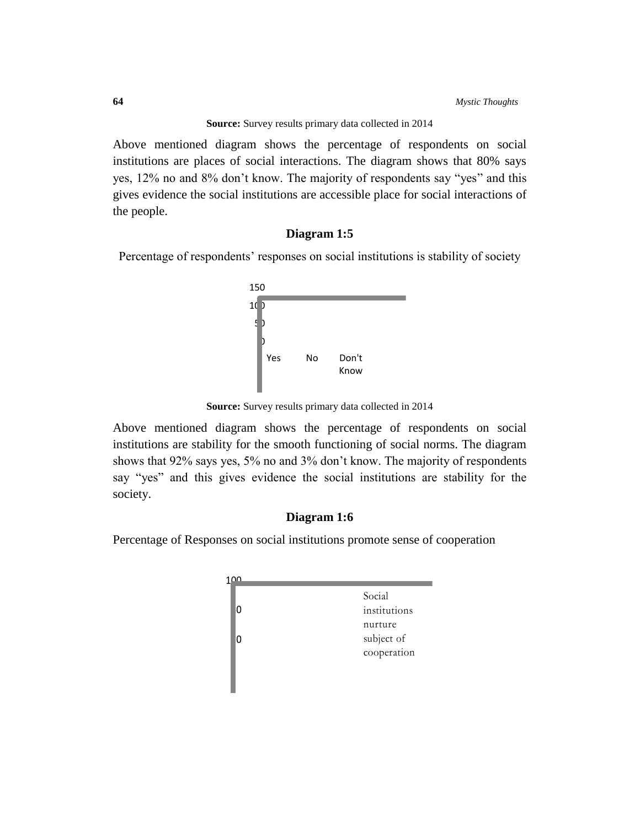**Source:** Survey results primary data collected in 2014

Above mentioned diagram shows the percentage of respondents on social institutions are places of social interactions. The diagram shows that 80% says yes, 12% no and 8% don't know. The majority of respondents say "yes" and this gives evidence the social institutions are accessible place for social interactions of the people.

### **Diagram 1:5**

Percentage of respondents' responses on social institutions is stability of society



**Source:** Survey results primary data collected in 2014

Above mentioned diagram shows the percentage of respondents on social institutions are stability for the smooth functioning of social norms. The diagram shows that 92% says yes, 5% no and 3% don't know. The majority of respondents say "yes" and this gives evidence the social institutions are stability for the society.

# **Diagram 1:6**

Percentage of Responses on social institutions promote sense of cooperation

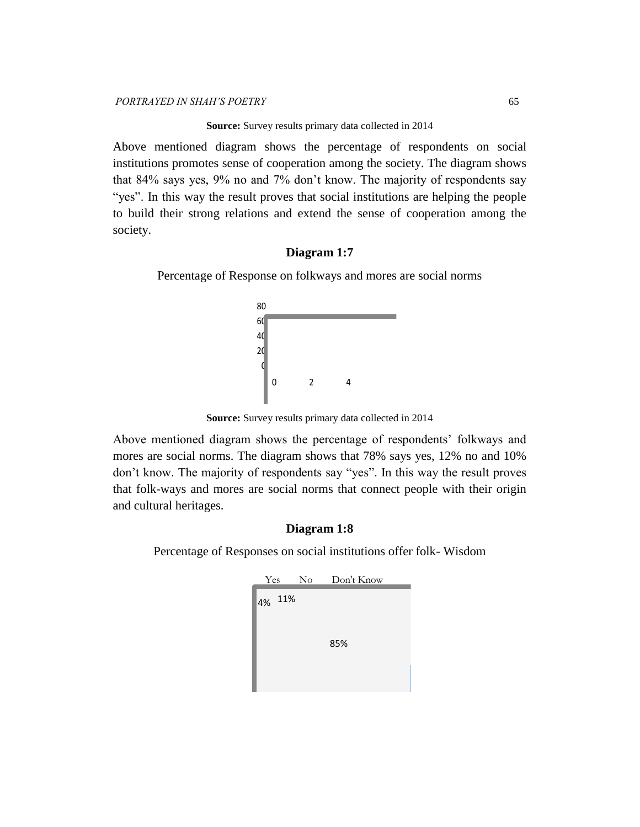#### **Source:** Survey results primary data collected in 2014

Above mentioned diagram shows the percentage of respondents on social institutions promotes sense of cooperation among the society. The diagram shows that 84% says yes, 9% no and 7% don't know. The majority of respondents say "yes". In this way the result proves that social institutions are helping the people to build their strong relations and extend the sense of cooperation among the society.

# **Diagram 1:7**

Percentage of Response on folkways and mores are social norms



**Source:** Survey results primary data collected in 2014

Above mentioned diagram shows the percentage of respondents' folkways and mores are social norms. The diagram shows that 78% says yes, 12% no and 10% don't know. The majority of respondents say "yes". In this way the result proves that folk-ways and mores are social norms that connect people with their origin and cultural heritages.

# **Diagram 1:8**

Percentage of Responses on social institutions offer folk- Wisdom

| Yes |     | $\overline{N_{O}}$ | Don't Know |
|-----|-----|--------------------|------------|
| 4%  | 11% |                    |            |
|     |     |                    | 85%        |
|     |     |                    |            |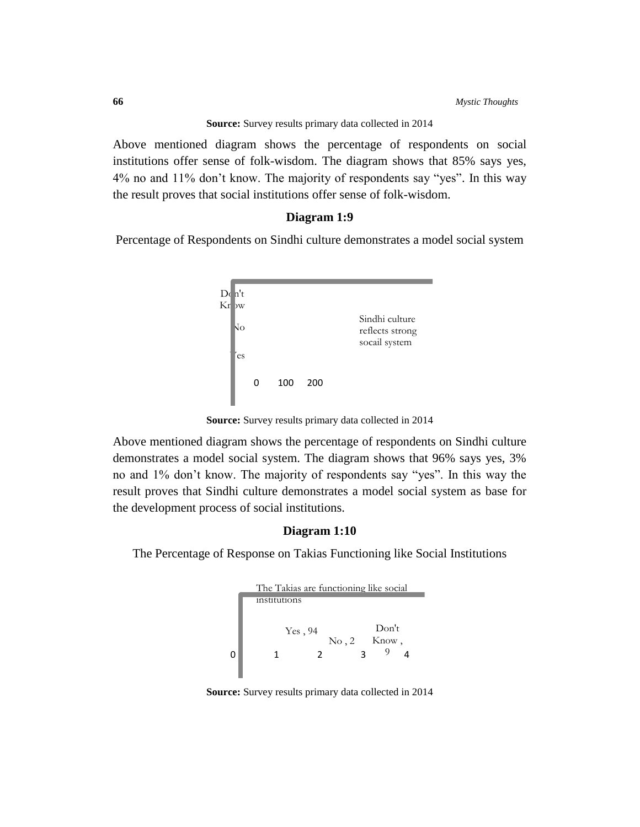**Source:** Survey results primary data collected in 2014

Above mentioned diagram shows the percentage of respondents on social institutions offer sense of folk-wisdom. The diagram shows that 85% says yes, 4% no and 11% don't know. The majority of respondents say "yes". In this way the result proves that social institutions offer sense of folk-wisdom.

### **Diagram 1:9**

Percentage of Respondents on Sindhi culture demonstrates a model social system



**Source:** Survey results primary data collected in 2014

Above mentioned diagram shows the percentage of respondents on Sindhi culture demonstrates a model social system. The diagram shows that 96% says yes, 3% no and 1% don't know. The majority of respondents say "yes". In this way the result proves that Sindhi culture demonstrates a model social system as base for the development process of social institutions.

# **Diagram 1:10**

The Percentage of Response on Takias Functioning like Social Institutions



**Source:** Survey results primary data collected in 2014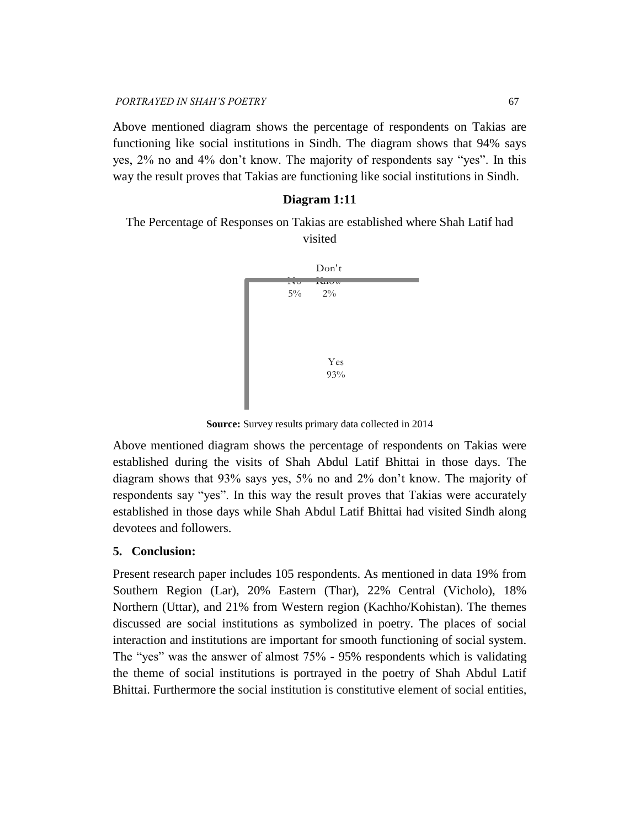Above mentioned diagram shows the percentage of respondents on Takias are functioning like social institutions in Sindh. The diagram shows that 94% says yes, 2% no and 4% don't know. The majority of respondents say "yes". In this way the result proves that Takias are functioning like social institutions in Sindh.

# **Diagram 1:11**

The Percentage of Responses on Takias are established where Shah Latif had visited



**Source:** Survey results primary data collected in 2014

Above mentioned diagram shows the percentage of respondents on Takias were established during the visits of Shah Abdul Latif Bhittai in those days. The diagram shows that 93% says yes, 5% no and 2% don't know. The majority of respondents say "yes". In this way the result proves that Takias were accurately established in those days while Shah Abdul Latif Bhittai had visited Sindh along devotees and followers.

### **5. Conclusion:**

Present research paper includes 105 respondents. As mentioned in data 19% from Southern Region (Lar), 20% Eastern (Thar), 22% Central (Vicholo), 18% Northern (Uttar), and 21% from Western region (Kachho/Kohistan). The themes discussed are social institutions as symbolized in poetry. The places of social interaction and institutions are important for smooth functioning of social system. The "yes" was the answer of almost 75% - 95% respondents which is validating the theme of social institutions is portrayed in the poetry of Shah Abdul Latif Bhittai. Furthermore the social institution is constitutive element of social entities,